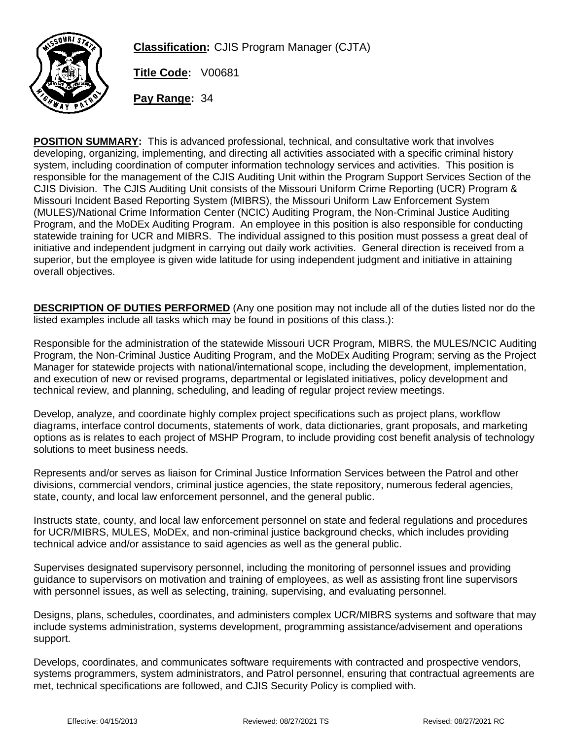

**Classification:** CJIS Program Manager (CJTA)

**Title Code:** V00681

**Pay Range:** 34

**POSITION SUMMARY:** This is advanced professional, technical, and consultative work that involves developing, organizing, implementing, and directing all activities associated with a specific criminal history system, including coordination of computer information technology services and activities. This position is responsible for the management of the CJIS Auditing Unit within the Program Support Services Section of the CJIS Division. The CJIS Auditing Unit consists of the Missouri Uniform Crime Reporting (UCR) Program & Missouri Incident Based Reporting System (MIBRS), the Missouri Uniform Law Enforcement System (MULES)/National Crime Information Center (NCIC) Auditing Program, the Non-Criminal Justice Auditing Program, and the MoDEx Auditing Program. An employee in this position is also responsible for conducting statewide training for UCR and MIBRS. The individual assigned to this position must possess a great deal of initiative and independent judgment in carrying out daily work activities. General direction is received from a superior, but the employee is given wide latitude for using independent judgment and initiative in attaining overall objectives.

**DESCRIPTION OF DUTIES PERFORMED** (Any one position may not include all of the duties listed nor do the listed examples include all tasks which may be found in positions of this class.):

Responsible for the administration of the statewide Missouri UCR Program, MIBRS, the MULES/NCIC Auditing Program, the Non-Criminal Justice Auditing Program, and the MoDEx Auditing Program; serving as the Project Manager for statewide projects with national/international scope, including the development, implementation, and execution of new or revised programs, departmental or legislated initiatives, policy development and technical review, and planning, scheduling, and leading of regular project review meetings.

Develop, analyze, and coordinate highly complex project specifications such as project plans, workflow diagrams, interface control documents, statements of work, data dictionaries, grant proposals, and marketing options as is relates to each project of MSHP Program, to include providing cost benefit analysis of technology solutions to meet business needs.

Represents and/or serves as liaison for Criminal Justice Information Services between the Patrol and other divisions, commercial vendors, criminal justice agencies, the state repository, numerous federal agencies, state, county, and local law enforcement personnel, and the general public.

Instructs state, county, and local law enforcement personnel on state and federal regulations and procedures for UCR/MIBRS, MULES, MoDEx, and non-criminal justice background checks, which includes providing technical advice and/or assistance to said agencies as well as the general public.

Supervises designated supervisory personnel, including the monitoring of personnel issues and providing guidance to supervisors on motivation and training of employees, as well as assisting front line supervisors with personnel issues, as well as selecting, training, supervising, and evaluating personnel.

Designs, plans, schedules, coordinates, and administers complex UCR/MIBRS systems and software that may include systems administration, systems development, programming assistance/advisement and operations support.

Develops, coordinates, and communicates software requirements with contracted and prospective vendors, systems programmers, system administrators, and Patrol personnel, ensuring that contractual agreements are met, technical specifications are followed, and CJIS Security Policy is complied with.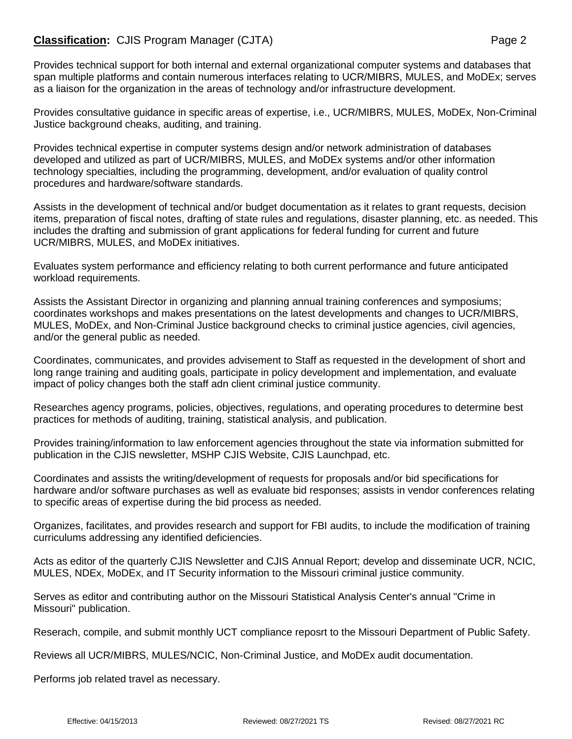## **Classification:** CJIS Program Manager (CJTA) **Page 2** Page 2

Provides technical support for both internal and external organizational computer systems and databases that span multiple platforms and contain numerous interfaces relating to UCR/MIBRS, MULES, and MoDEx; serves as a liaison for the organization in the areas of technology and/or infrastructure development.

Provides consultative guidance in specific areas of expertise, i.e., UCR/MIBRS, MULES, MoDEx, Non-Criminal Justice background cheaks, auditing, and training.

Provides technical expertise in computer systems design and/or network administration of databases developed and utilized as part of UCR/MIBRS, MULES, and MoDEx systems and/or other information technology specialties, including the programming, development, and/or evaluation of quality control procedures and hardware/software standards.

Assists in the development of technical and/or budget documentation as it relates to grant requests, decision items, preparation of fiscal notes, drafting of state rules and regulations, disaster planning, etc. as needed. This includes the drafting and submission of grant applications for federal funding for current and future UCR/MIBRS, MULES, and MoDEx initiatives.

Evaluates system performance and efficiency relating to both current performance and future anticipated workload requirements.

Assists the Assistant Director in organizing and planning annual training conferences and symposiums; coordinates workshops and makes presentations on the latest developments and changes to UCR/MIBRS, MULES, MoDEx, and Non-Criminal Justice background checks to criminal justice agencies, civil agencies, and/or the general public as needed.

Coordinates, communicates, and provides advisement to Staff as requested in the development of short and long range training and auditing goals, participate in policy development and implementation, and evaluate impact of policy changes both the staff adn client criminal justice community.

Researches agency programs, policies, objectives, regulations, and operating procedures to determine best practices for methods of auditing, training, statistical analysis, and publication.

Provides training/information to law enforcement agencies throughout the state via information submitted for publication in the CJIS newsletter, MSHP CJIS Website, CJIS Launchpad, etc.

Coordinates and assists the writing/development of requests for proposals and/or bid specifications for hardware and/or software purchases as well as evaluate bid responses; assists in vendor conferences relating to specific areas of expertise during the bid process as needed.

Organizes, facilitates, and provides research and support for FBI audits, to include the modification of training curriculums addressing any identified deficiencies.

Acts as editor of the quarterly CJIS Newsletter and CJIS Annual Report; develop and disseminate UCR, NCIC, MULES, NDEx, MoDEx, and IT Security information to the Missouri criminal justice community.

Serves as editor and contributing author on the Missouri Statistical Analysis Center's annual "Crime in Missouri" publication.

Reserach, compile, and submit monthly UCT compliance reposrt to the Missouri Department of Public Safety.

Reviews all UCR/MIBRS, MULES/NCIC, Non-Criminal Justice, and MoDEx audit documentation.

Performs job related travel as necessary.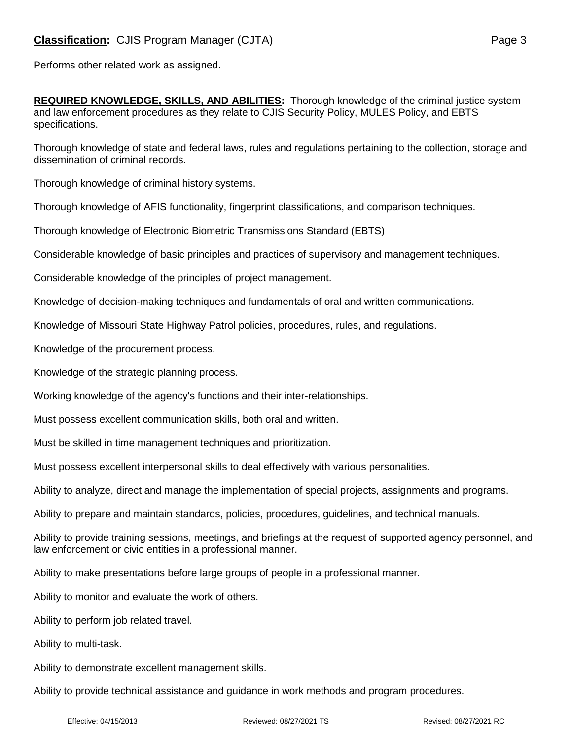Performs other related work as assigned.

**REQUIRED KNOWLEDGE, SKILLS, AND ABILITIES:** Thorough knowledge of the criminal justice system and law enforcement procedures as they relate to CJIS Security Policy, MULES Policy, and EBTS specifications.

Thorough knowledge of state and federal laws, rules and regulations pertaining to the collection, storage and dissemination of criminal records.

Thorough knowledge of criminal history systems.

Thorough knowledge of AFIS functionality, fingerprint classifications, and comparison techniques.

Thorough knowledge of Electronic Biometric Transmissions Standard (EBTS)

Considerable knowledge of basic principles and practices of supervisory and management techniques.

Considerable knowledge of the principles of project management.

Knowledge of decision-making techniques and fundamentals of oral and written communications.

Knowledge of Missouri State Highway Patrol policies, procedures, rules, and regulations.

Knowledge of the procurement process.

Knowledge of the strategic planning process.

Working knowledge of the agency's functions and their inter-relationships.

Must possess excellent communication skills, both oral and written.

Must be skilled in time management techniques and prioritization.

Must possess excellent interpersonal skills to deal effectively with various personalities.

Ability to analyze, direct and manage the implementation of special projects, assignments and programs.

Ability to prepare and maintain standards, policies, procedures, guidelines, and technical manuals.

Ability to provide training sessions, meetings, and briefings at the request of supported agency personnel, and law enforcement or civic entities in a professional manner.

Ability to make presentations before large groups of people in a professional manner.

Ability to monitor and evaluate the work of others.

Ability to perform job related travel.

Ability to multi-task.

Ability to demonstrate excellent management skills.

Ability to provide technical assistance and guidance in work methods and program procedures.